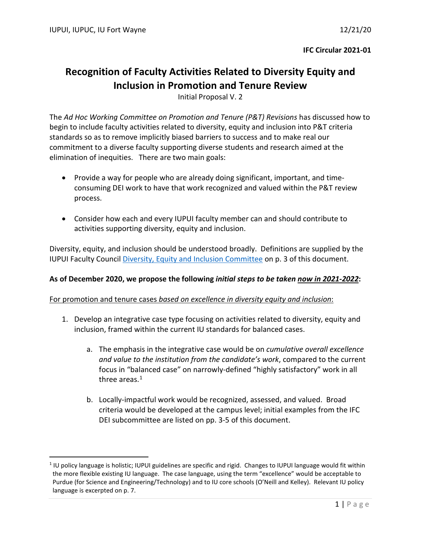# **Recognition of Faculty Activities Related to Diversity Equity and Inclusion in Promotion and Tenure Review**

Initial Proposal V. 2

The *Ad Hoc Working Committee on Promotion and Tenure (P&T) Revisions* has discussed how to begin to include faculty activities related to diversity, equity and inclusion into P&T criteria standards so as to remove implicitly biased barriers to success and to make real our commitment to a diverse faculty supporting diverse students and research aimed at the elimination of inequities. There are two main goals:

- Provide a way for people who are already doing significant, important, and timeconsuming DEI work to have that work recognized and valued within the P&T review process.
- Consider how each and every IUPUI faculty member can and should contribute to activities supporting diversity, equity and inclusion.

Diversity, equity, and inclusion should be understood broadly. Definitions are supplied by the IUPUI Faculty Council [Diversity, Equity and Inclusion Committee](https://facultycouncil.iupui.edu/Committees/Diversity-Equity-and-Inclusion-Committee) on p. 3 of this document.

## **As of December 2020, we propose the following** *initial steps to be taken now in 2021-2022***:**

For promotion and tenure cases *based on excellence in diversity equity and inclusion*:

- 1. Develop an integrative case type focusing on activities related to diversity, equity and inclusion, framed within the current IU standards for balanced cases.
	- a. The emphasis in the integrative case would be on *cumulative overall excellence and value to the institution from the candidate's work*, compared to the current focus in "balanced case" on narrowly-defined "highly satisfactory" work in all three areas.<sup>[1](#page-0-0)</sup>
	- b. Locally-impactful work would be recognized, assessed, and valued. Broad criteria would be developed at the campus level; initial examples from the IFC DEI subcommittee are listed on pp. 3-5 of this document.

<span id="page-0-0"></span><sup>&</sup>lt;sup>1</sup> IU policy language is holistic; IUPUI guidelines are specific and rigid. Changes to IUPUI language would fit within the more flexible existing IU language. The case language, using the term "excellence" would be acceptable to Purdue (for Science and Engineering/Technology) and to IU core schools (O'Neill and Kelley). Relevant IU policy language is excerpted on p. 7.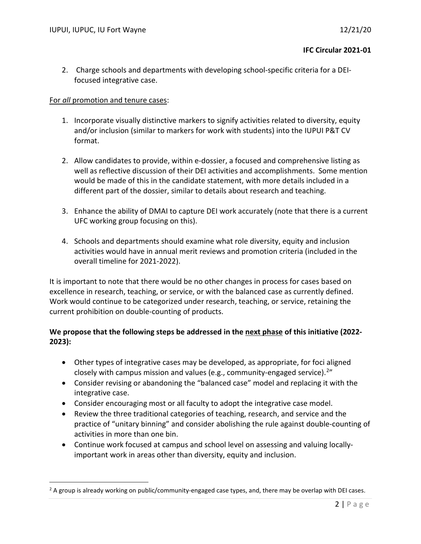2. Charge schools and departments with developing school-specific criteria for a DEIfocused integrative case.

#### For *all* promotion and tenure cases:

- 1. Incorporate visually distinctive markers to signify activities related to diversity, equity and/or inclusion (similar to markers for work with students) into the IUPUI P&T CV format.
- 2. Allow candidates to provide, within e-dossier, a focused and comprehensive listing as well as reflective discussion of their DEI activities and accomplishments. Some mention would be made of this in the candidate statement, with more details included in a different part of the dossier, similar to details about research and teaching.
- 3. Enhance the ability of DMAI to capture DEI work accurately (note that there is a current UFC working group focusing on this).
- 4. Schools and departments should examine what role diversity, equity and inclusion activities would have in annual merit reviews and promotion criteria (included in the overall timeline for 2021-2022).

It is important to note that there would be no other changes in process for cases based on excellence in research, teaching, or service, or with the balanced case as currently defined. Work would continue to be categorized under research, teaching, or service, retaining the current prohibition on double-counting of products.

## **We propose that the following steps be addressed in the next phase of this initiative (2022- 2023):**

- Other types of integrative cases may be developed, as appropriate, for foci aligned closely with campus mission and values (e.g., community-engaged service). [2"](#page-1-0)
- Consider revising or abandoning the "balanced case" model and replacing it with the integrative case.
- Consider encouraging most or all faculty to adopt the integrative case model.
- Review the three traditional categories of teaching, research, and service and the practice of "unitary binning" and consider abolishing the rule against double-counting of activities in more than one bin.
- Continue work focused at campus and school level on assessing and valuing locallyimportant work in areas other than diversity, equity and inclusion.

<span id="page-1-0"></span><sup>&</sup>lt;sup>2</sup> A group is already working on public/community-engaged case types, and, there may be overlap with DEI cases.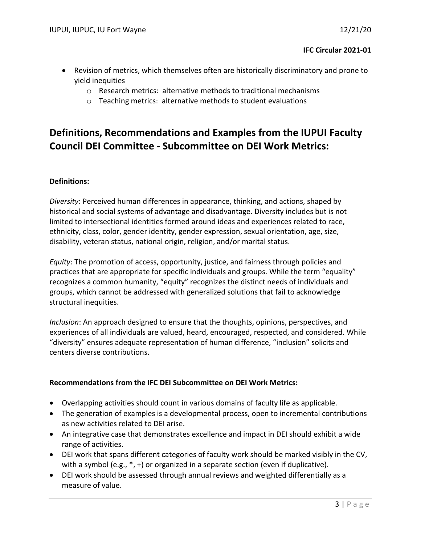- Revision of metrics, which themselves often are historically discriminatory and prone to yield inequities
	- o Research metrics: alternative methods to traditional mechanisms
	- o Teaching metrics: alternative methods to student evaluations

# **Definitions, Recommendations and Examples from the IUPUI Faculty Council DEI Committee - Subcommittee on DEI Work Metrics:**

## **Definitions:**

*Diversity*: Perceived human differences in appearance, thinking, and actions, shaped by historical and social systems of advantage and disadvantage. Diversity includes but is not limited to intersectional identities formed around ideas and experiences related to race, ethnicity, class, color, gender identity, gender expression, sexual orientation, age, size, disability, veteran status, national origin, religion, and/or marital status.

*Equity*: The promotion of access, opportunity, justice, and fairness through policies and practices that are appropriate for specific individuals and groups. While the term "equality" recognizes a common humanity, "equity" recognizes the distinct needs of individuals and groups, which cannot be addressed with generalized solutions that fail to acknowledge structural inequities.

*Inclusion*: An approach designed to ensure that the thoughts, opinions, perspectives, and experiences of all individuals are valued, heard, encouraged, respected, and considered. While "diversity" ensures adequate representation of human difference, "inclusion" solicits and centers diverse contributions.

#### **Recommendations from the IFC DEI Subcommittee on DEI Work Metrics:**

- Overlapping activities should count in various domains of faculty life as applicable.
- The generation of examples is a developmental process, open to incremental contributions as new activities related to DEI arise.
- An integrative case that demonstrates excellence and impact in DEI should exhibit a wide range of activities.
- DEI work that spans different categories of faculty work should be marked visibly in the CV, with a symbol (e.g.,  $*$ , +) or organized in a separate section (even if duplicative).
- DEI work should be assessed through annual reviews and weighted differentially as a measure of value.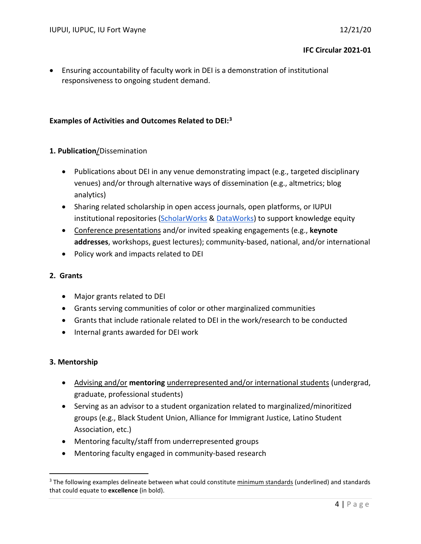• Ensuring accountability of faculty work in DEI is a demonstration of institutional responsiveness to ongoing student demand.

## **Examples of Activities and Outcomes Related to DEI: [3](#page-3-0)**

## **1. Publication**/Dissemination

- Publications about DEI in any venue demonstrating impact (e.g., targeted disciplinary venues) and/or through alternative ways of dissemination (e.g., altmetrics; blog analytics)
- Sharing related scholarship in open access journals, open platforms, or IUPUI institutional repositories [\(ScholarWorks](http://scholarworks.iupui.edu/) & [DataWorks\)](https://dataworks.iupui.edu/) to support knowledge equity
- Conference presentations and/or invited speaking engagements (e.g., **keynote addresses**, workshops, guest lectures); community-based, national, and/or international
- Policy work and impacts related to DEI

#### **2. Grants**

- Major grants related to DEI
- Grants serving communities of color or other marginalized communities
- Grants that include rationale related to DEI in the work/research to be conducted
- Internal grants awarded for DEI work

#### **3. Mentorship**

- Advising and/or **mentoring** underrepresented and/or international students (undergrad, graduate, professional students)
- Serving as an advisor to a student organization related to marginalized/minoritized groups (e.g., Black Student Union, Alliance for Immigrant Justice, Latino Student Association, etc.)
- Mentoring faculty/staff from underrepresented groups
- Mentoring faculty engaged in community-based research

<span id="page-3-0"></span><sup>&</sup>lt;sup>3</sup> The following examples delineate between what could constitute minimum standards (underlined) and standards that could equate to **excellence** (in bold).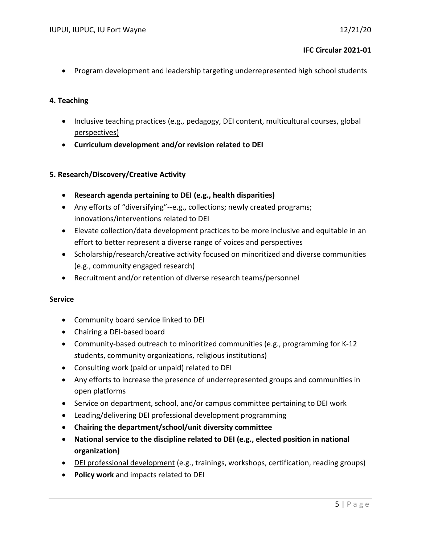• Program development and leadership targeting underrepresented high school students

#### **4. Teaching**

- Inclusive teaching practices (e.g., pedagogy, DEI content, multicultural courses, global perspectives)
- **Curriculum development and/or revision related to DEI**

#### **5. Research/Discovery/Creative Activity**

- **Research agenda pertaining to DEI (e.g., health disparities)**
- Any efforts of "diversifying"--e.g., collections; newly created programs; innovations/interventions related to DEI
- Elevate collection/data development practices to be more inclusive and equitable in an effort to better represent a diverse range of voices and perspectives
- Scholarship/research/creative activity focused on minoritized and diverse communities (e.g., community engaged research)
- Recruitment and/or retention of diverse research teams/personnel

#### **Service**

- Community board service linked to DEI
- Chairing a DEI-based board
- Community-based outreach to minoritized communities (e.g., programming for K-12 students, community organizations, religious institutions)
- Consulting work (paid or unpaid) related to DEI
- Any efforts to increase the presence of underrepresented groups and communities in open platforms
- Service on department, school, and/or campus committee pertaining to DEI work
- Leading/delivering DEI professional development programming
- **Chairing the department/school/unit diversity committee**
- **National service to the discipline related to DEI (e.g., elected position in national organization)**
- DEI professional development (e.g., trainings, workshops, certification, reading groups)
- **Policy work** and impacts related to DEI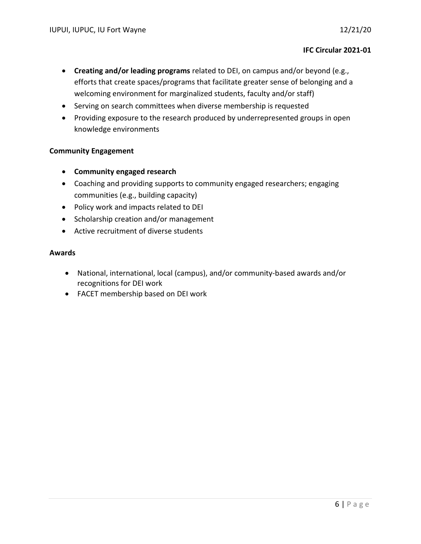- **Creating and/or leading programs** related to DEI, on campus and/or beyond (e.g., efforts that create spaces/programs that facilitate greater sense of belonging and a welcoming environment for marginalized students, faculty and/or staff)
- Serving on search committees when diverse membership is requested
- Providing exposure to the research produced by underrepresented groups in open knowledge environments

## **Community Engagement**

- **Community engaged research**
- Coaching and providing supports to community engaged researchers; engaging communities (e.g., building capacity)
- Policy work and impacts related to DEI
- Scholarship creation and/or management
- Active recruitment of diverse students

#### **Awards**

- National, international, local (campus), and/or community-based awards and/or recognitions for DEI work
- FACET membership based on DEI work